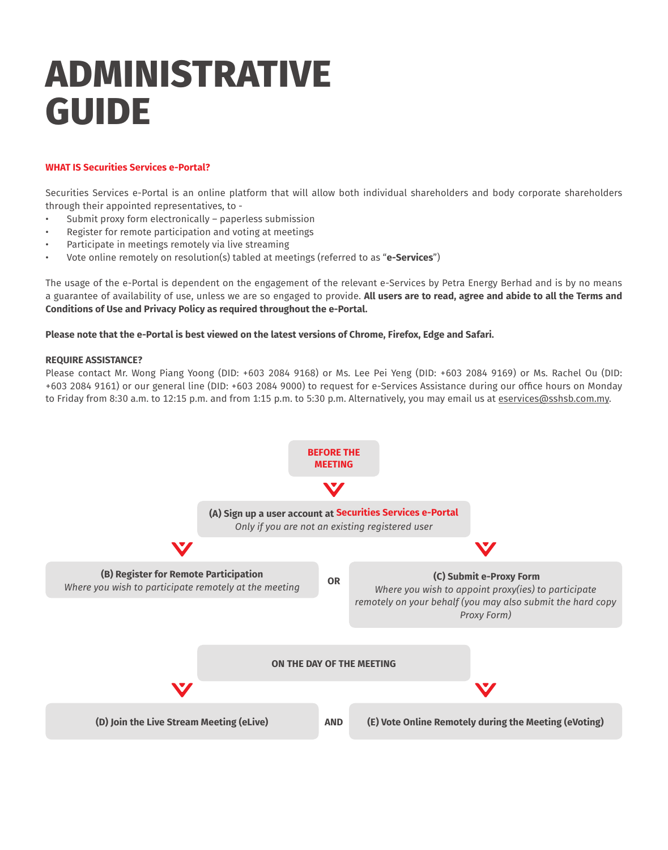### **WHAT IS Securities Services e-Portal?**

Securities Services e-Portal is an online platform that will allow both individual shareholders and body corporate shareholders through their appointed representatives, to -

- Submit proxy form electronically  $-$  paperless submission
- Register for remote participation and voting at meetings
- Participate in meetings remotely via live streaming
- Vote online remotely on resolution(s) tabled at meetings (referred to as "e-Services")

The usage of the e-Portal is dependent on the engagement of the relevant e-Services by Petra Energy Berhad and is by no means a guarantee of availability of use, unless we are so engaged to provide. **All users are to read, agree and abide to all the Terms and Conditions of Use and Privacy Policy as required throughout the e-Portal.**

#### **Please note that the e-Portal is best viewed on the latest versions of Chrome, Firefox, Edge and Safari.**

#### **REQUIRE ASSISTANCE?**

Please contact Mr. Wong Piang Yoong (DID: +603 2084 9168) or Ms. Lee Pei Yeng (DID: +603 2084 9169) or Ms. Rachel Ou (DID: +603 2084 9161) or our general line (DID: +603 2084 9000) to request for e-Services Assistance during our office hours on Monday to Friday from 8:30 a.m. to 12:15 p.m. and from 1:15 p.m. to 5:30 p.m. Alternatively, you may email us at eservices@sshsb.com.my.

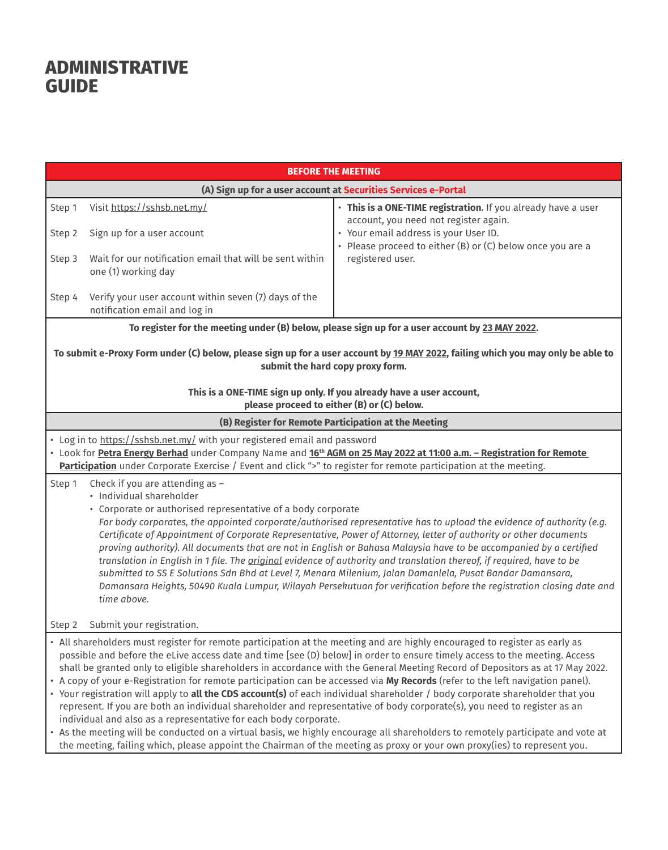| <b>BEFORE THE MEETING</b>                                                                                                                                                                                                                                                                                                                                                                                                                                                                                                                                                                                                                                                                                                                                                                                                                                                                    |                                                                                                                                                                                                                                                                                                                                                                                                                                                                                                                                                                                                                                                                                                                                                                                                                                                                                                                                                                                                                                                        |  |
|----------------------------------------------------------------------------------------------------------------------------------------------------------------------------------------------------------------------------------------------------------------------------------------------------------------------------------------------------------------------------------------------------------------------------------------------------------------------------------------------------------------------------------------------------------------------------------------------------------------------------------------------------------------------------------------------------------------------------------------------------------------------------------------------------------------------------------------------------------------------------------------------|--------------------------------------------------------------------------------------------------------------------------------------------------------------------------------------------------------------------------------------------------------------------------------------------------------------------------------------------------------------------------------------------------------------------------------------------------------------------------------------------------------------------------------------------------------------------------------------------------------------------------------------------------------------------------------------------------------------------------------------------------------------------------------------------------------------------------------------------------------------------------------------------------------------------------------------------------------------------------------------------------------------------------------------------------------|--|
| (A) Sign up for a user account at Securities Services e-Portal                                                                                                                                                                                                                                                                                                                                                                                                                                                                                                                                                                                                                                                                                                                                                                                                                               |                                                                                                                                                                                                                                                                                                                                                                                                                                                                                                                                                                                                                                                                                                                                                                                                                                                                                                                                                                                                                                                        |  |
| Visit https://sshsb.net.my/<br>Step 1                                                                                                                                                                                                                                                                                                                                                                                                                                                                                                                                                                                                                                                                                                                                                                                                                                                        | . This is a ONE-TIME registration. If you already have a user<br>account, you need not register again.                                                                                                                                                                                                                                                                                                                                                                                                                                                                                                                                                                                                                                                                                                                                                                                                                                                                                                                                                 |  |
| Sign up for a user account<br>Step 2                                                                                                                                                                                                                                                                                                                                                                                                                                                                                                                                                                                                                                                                                                                                                                                                                                                         | • Your email address is your User ID.<br>• Please proceed to either (B) or (C) below once you are a                                                                                                                                                                                                                                                                                                                                                                                                                                                                                                                                                                                                                                                                                                                                                                                                                                                                                                                                                    |  |
| Wait for our notification email that will be sent within<br>Step 3<br>one (1) working day                                                                                                                                                                                                                                                                                                                                                                                                                                                                                                                                                                                                                                                                                                                                                                                                    | registered user.                                                                                                                                                                                                                                                                                                                                                                                                                                                                                                                                                                                                                                                                                                                                                                                                                                                                                                                                                                                                                                       |  |
| Step 4<br>Verify your user account within seven (7) days of the<br>notification email and log in                                                                                                                                                                                                                                                                                                                                                                                                                                                                                                                                                                                                                                                                                                                                                                                             |                                                                                                                                                                                                                                                                                                                                                                                                                                                                                                                                                                                                                                                                                                                                                                                                                                                                                                                                                                                                                                                        |  |
| To register for the meeting under (B) below, please sign up for a user account by 23 MAY 2022.                                                                                                                                                                                                                                                                                                                                                                                                                                                                                                                                                                                                                                                                                                                                                                                               |                                                                                                                                                                                                                                                                                                                                                                                                                                                                                                                                                                                                                                                                                                                                                                                                                                                                                                                                                                                                                                                        |  |
| To submit e-Proxy Form under (C) below, please sign up for a user account by 19 MAY 2022, failing which you may only be able to<br>submit the hard copy proxy form.                                                                                                                                                                                                                                                                                                                                                                                                                                                                                                                                                                                                                                                                                                                          |                                                                                                                                                                                                                                                                                                                                                                                                                                                                                                                                                                                                                                                                                                                                                                                                                                                                                                                                                                                                                                                        |  |
| This is a ONE-TIME sign up only. If you already have a user account,<br>please proceed to either (B) or (C) below.                                                                                                                                                                                                                                                                                                                                                                                                                                                                                                                                                                                                                                                                                                                                                                           |                                                                                                                                                                                                                                                                                                                                                                                                                                                                                                                                                                                                                                                                                                                                                                                                                                                                                                                                                                                                                                                        |  |
| (B) Register for Remote Participation at the Meeting                                                                                                                                                                                                                                                                                                                                                                                                                                                                                                                                                                                                                                                                                                                                                                                                                                         |                                                                                                                                                                                                                                                                                                                                                                                                                                                                                                                                                                                                                                                                                                                                                                                                                                                                                                                                                                                                                                                        |  |
| • Log in to https://sshsb.net.my/ with your registered email and password<br>· Look for Petra Energy Berhad under Company Name and 16th AGM on 25 May 2022 at 11:00 a.m. - Registration for Remote<br>Participation under Corporate Exercise / Event and click ">" to register for remote participation at the meeting.                                                                                                                                                                                                                                                                                                                                                                                                                                                                                                                                                                      |                                                                                                                                                                                                                                                                                                                                                                                                                                                                                                                                                                                                                                                                                                                                                                                                                                                                                                                                                                                                                                                        |  |
| Check if you are attending as -<br>Step 1<br>· Individual shareholder<br>• Corporate or authorised representative of a body corporate<br>For body corporates, the appointed corporate/authorised representative has to upload the evidence of authority (e.g.<br>Certificate of Appointment of Corporate Representative, Power of Attorney, letter of authority or other documents<br>proving authority). All documents that are not in English or Bahasa Malaysia have to be accompanied by a certified<br>translation in English in 1 file. The <i>original</i> evidence of authority and translation thereof, if required, have to be<br>submitted to SS E Solutions Sdn Bhd at Level 7, Menara Milenium, Jalan Damanlela, Pusat Bandar Damansara,<br>Damansara Heights, 50490 Kuala Lumpur, Wilayah Persekutuan for verification before the registration closing date and<br>time above. |                                                                                                                                                                                                                                                                                                                                                                                                                                                                                                                                                                                                                                                                                                                                                                                                                                                                                                                                                                                                                                                        |  |
| Submit your registration.<br>Step 2                                                                                                                                                                                                                                                                                                                                                                                                                                                                                                                                                                                                                                                                                                                                                                                                                                                          |                                                                                                                                                                                                                                                                                                                                                                                                                                                                                                                                                                                                                                                                                                                                                                                                                                                                                                                                                                                                                                                        |  |
| individual and also as a representative for each body corporate.                                                                                                                                                                                                                                                                                                                                                                                                                                                                                                                                                                                                                                                                                                                                                                                                                             | · All shareholders must register for remote participation at the meeting and are highly encouraged to register as early as<br>possible and before the eLive access date and time [see (D) below] in order to ensure timely access to the meeting. Access<br>shall be granted only to eligible shareholders in accordance with the General Meeting Record of Depositors as at 17 May 2022.<br>• A copy of your e-Registration for remote participation can be accessed via My Records (refer to the left navigation panel).<br>• Your registration will apply to all the CDS account(s) of each individual shareholder / body corporate shareholder that you<br>represent. If you are both an individual shareholder and representative of body corporate(s), you need to register as an<br>• As the meeting will be conducted on a virtual basis, we highly encourage all shareholders to remotely participate and vote at<br>the meeting, failing which, please appoint the Chairman of the meeting as proxy or your own proxy(ies) to represent you. |  |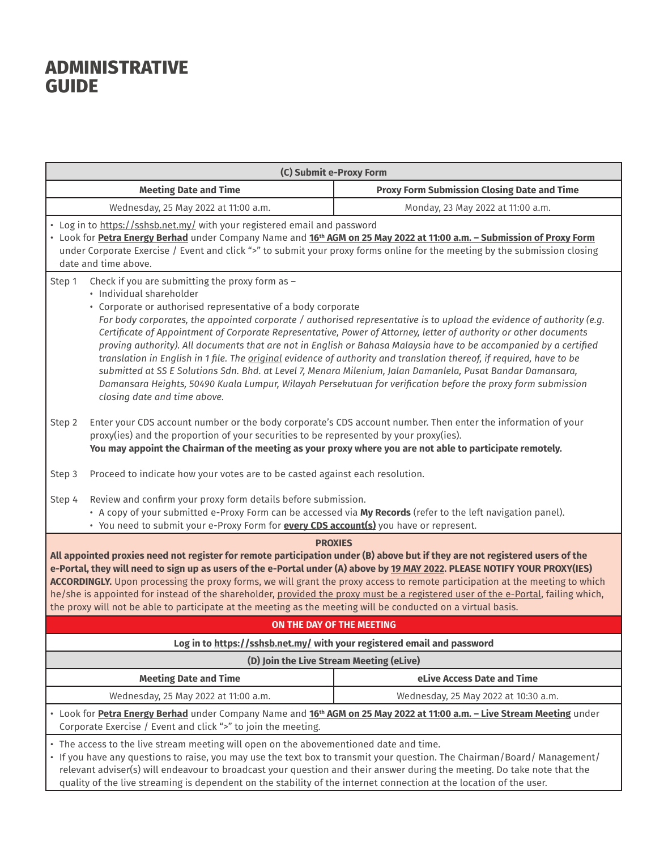| (C) Submit e-Proxy Form                                                                                                                                                                                                                                                                                                                                                                                                                                                                                                                                                                                                                                                                                                                                                                                                                                                                                                  |                                                                         |  |
|--------------------------------------------------------------------------------------------------------------------------------------------------------------------------------------------------------------------------------------------------------------------------------------------------------------------------------------------------------------------------------------------------------------------------------------------------------------------------------------------------------------------------------------------------------------------------------------------------------------------------------------------------------------------------------------------------------------------------------------------------------------------------------------------------------------------------------------------------------------------------------------------------------------------------|-------------------------------------------------------------------------|--|
| <b>Meeting Date and Time</b>                                                                                                                                                                                                                                                                                                                                                                                                                                                                                                                                                                                                                                                                                                                                                                                                                                                                                             | <b>Proxy Form Submission Closing Date and Time</b>                      |  |
| Wednesday, 25 May 2022 at 11:00 a.m.                                                                                                                                                                                                                                                                                                                                                                                                                                                                                                                                                                                                                                                                                                                                                                                                                                                                                     | Monday, 23 May 2022 at 11:00 a.m.                                       |  |
| • Log in to https://sshsb.net.my/ with your registered email and password<br>. Look for Petra Energy Berhad under Company Name and 16th AGM on 25 May 2022 at 11:00 a.m. - Submission of Proxy Form<br>under Corporate Exercise / Event and click ">" to submit your proxy forms online for the meeting by the submission closing<br>date and time above.                                                                                                                                                                                                                                                                                                                                                                                                                                                                                                                                                                |                                                                         |  |
| Step 1<br>Check if you are submitting the proxy form as -<br>· Individual shareholder<br>• Corporate or authorised representative of a body corporate<br>For body corporates, the appointed corporate / authorised representative is to upload the evidence of authority (e.g.<br>Certificate of Appointment of Corporate Representative, Power of Attorney, letter of authority or other documents<br>proving authority). All documents that are not in English or Bahasa Malaysia have to be accompanied by a certified<br>translation in English in 1 file. The <i>original</i> evidence of authority and translation thereof, if required, have to be<br>submitted at SS E Solutions Sdn. Bhd. at Level 7, Menara Milenium, Jalan Damanlela, Pusat Bandar Damansara,<br>Damansara Heights, 50490 Kuala Lumpur, Wilayah Persekutuan for verification before the proxy form submission<br>closing date and time above. |                                                                         |  |
| Enter your CDS account number or the body corporate's CDS account number. Then enter the information of your<br>Step 2<br>proxy(ies) and the proportion of your securities to be represented by your proxy(ies).<br>You may appoint the Chairman of the meeting as your proxy where you are not able to participate remotely.                                                                                                                                                                                                                                                                                                                                                                                                                                                                                                                                                                                            |                                                                         |  |
| Proceed to indicate how your votes are to be casted against each resolution.<br>Step 3                                                                                                                                                                                                                                                                                                                                                                                                                                                                                                                                                                                                                                                                                                                                                                                                                                   |                                                                         |  |
| Review and confirm your proxy form details before submission.<br>Step 4<br>• A copy of your submitted e-Proxy Form can be accessed via My Records (refer to the left navigation panel).<br>• You need to submit your e-Proxy Form for <b>every CDS account(s)</b> you have or represent.                                                                                                                                                                                                                                                                                                                                                                                                                                                                                                                                                                                                                                 |                                                                         |  |
| <b>PROXIES</b><br>All appointed proxies need not register for remote participation under (B) above but if they are not registered users of the<br>e-Portal, they will need to sign up as users of the e-Portal under (A) above by 19 MAY 2022. PLEASE NOTIFY YOUR PROXY(IES)<br>ACCORDINGLY. Upon processing the proxy forms, we will grant the proxy access to remote participation at the meeting to which<br>he/she is appointed for instead of the shareholder, provided the proxy must be a registered user of the e-Portal, failing which,<br>the proxy will not be able to participate at the meeting as the meeting will be conducted on a virtual basis.<br>ON THE DAY OF THE MEETING                                                                                                                                                                                                                           |                                                                         |  |
|                                                                                                                                                                                                                                                                                                                                                                                                                                                                                                                                                                                                                                                                                                                                                                                                                                                                                                                          | Log in to https://sshsb.net.my/ with your registered email and password |  |
| (D) Join the Live Stream Meeting (eLive)                                                                                                                                                                                                                                                                                                                                                                                                                                                                                                                                                                                                                                                                                                                                                                                                                                                                                 |                                                                         |  |
| <b>Meeting Date and Time</b>                                                                                                                                                                                                                                                                                                                                                                                                                                                                                                                                                                                                                                                                                                                                                                                                                                                                                             | eLive Access Date and Time                                              |  |
| Wednesday, 25 May 2022 at 11:00 a.m.                                                                                                                                                                                                                                                                                                                                                                                                                                                                                                                                                                                                                                                                                                                                                                                                                                                                                     | Wednesday, 25 May 2022 at 10:30 a.m.                                    |  |
| · Look for Petra Energy Berhad under Company Name and 16th AGM on 25 May 2022 at 11:00 a.m. - Live Stream Meeting under<br>Corporate Exercise / Event and click ">" to join the meeting.                                                                                                                                                                                                                                                                                                                                                                                                                                                                                                                                                                                                                                                                                                                                 |                                                                         |  |
| • The access to the live stream meeting will open on the abovementioned date and time.<br>• If you have any questions to raise, you may use the text box to transmit your question. The Chairman/Board/Management/<br>relevant adviser(s) will endeavour to broadcast your question and their answer during the meeting. Do take note that the<br>quality of the live streaming is dependent on the stability of the internet connection at the location of the user.                                                                                                                                                                                                                                                                                                                                                                                                                                                    |                                                                         |  |